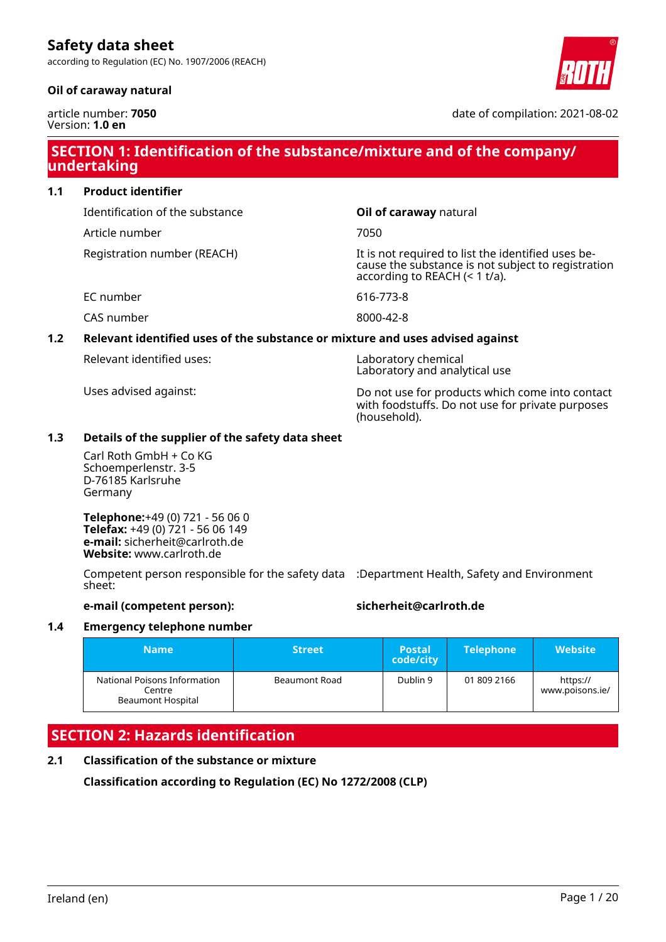according to Regulation (EC) No. 1907/2006 (REACH)

### **Oil of caraway natural**



date of compilation: 2021-08-02

# **SECTION 1: Identification of the substance/mixture and of the company/ undertaking**

### **1.1 Product identifier**

Identification of the substance **Oil of caraway** natural

Article number 7050

Registration number (REACH) The state of the identified uses because the substance is not subject to registration according to REACH (< 1 t/a).

EC number 616-773-8

CAS number 8000-42-8

## **1.2 Relevant identified uses of the substance or mixture and uses advised against**

Relevant identified uses: Laboratory chemical

Laboratory and analytical use

Uses advised against: Do not use for products which come into contact with foodstuffs. Do not use for private purposes (household).

### **1.3 Details of the supplier of the safety data sheet**

Carl Roth GmbH + Co KG Schoemperlenstr. 3-5 D-76185 Karlsruhe Germany

**Telephone:**+49 (0) 721 - 56 06 0 **Telefax:** +49 (0) 721 - 56 06 149 **e-mail:** sicherheit@carlroth.de **Website:** www.carlroth.de

Competent person responsible for the safety data :Department Health, Safety and Environment sheet:

### **e-mail (competent person): sicherheit@carlroth.de**

### **1.4 Emergency telephone number**

| <b>Name</b>                                                        | <b>Street</b> | <b>Postal</b><br>code/city | <b>Telephone</b> | <b>Website</b>              |
|--------------------------------------------------------------------|---------------|----------------------------|------------------|-----------------------------|
| National Poisons Information<br>Centre<br><b>Beaumont Hospital</b> | Beaumont Road | Dublin 9                   | 01 809 2166      | https://<br>www.poisons.ie/ |

# **SECTION 2: Hazards identification**

### **2.1 Classification of the substance or mixture**

**Classification according to Regulation (EC) No 1272/2008 (CLP)**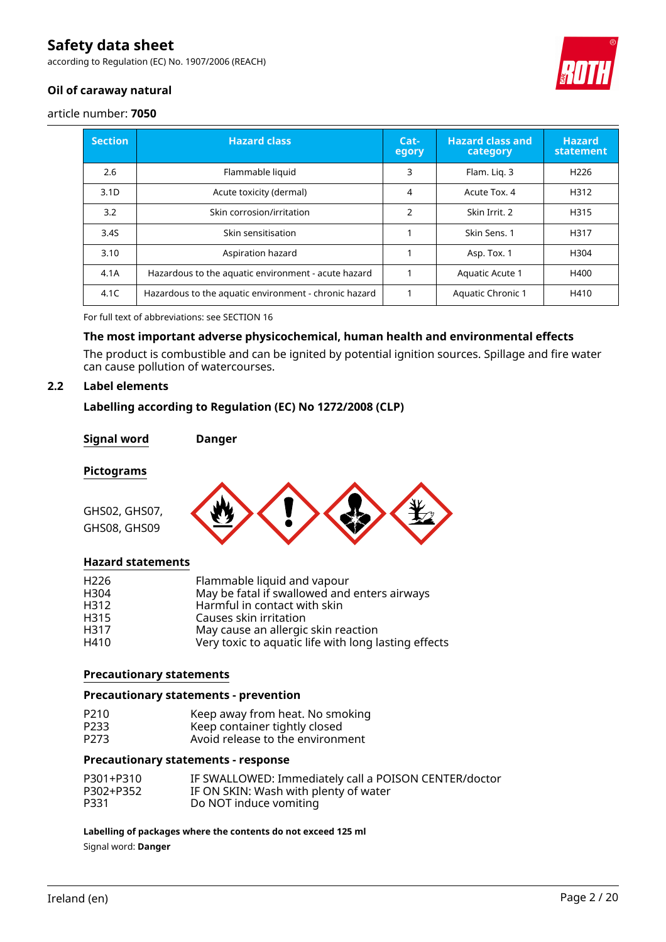according to Regulation (EC) No. 1907/2006 (REACH)



### **Oil of caraway natural**

article number: **7050**

| <b>Section</b>   | <b>Hazard class</b>                                   | Cat-<br>egory  | <b>Hazard class and</b><br>category | <b>Hazard</b><br>statement |
|------------------|-------------------------------------------------------|----------------|-------------------------------------|----------------------------|
| 2.6              | Flammable liquid                                      | 3              | Flam. Lig. 3                        | H <sub>226</sub>           |
| 3.1 <sub>D</sub> | Acute toxicity (dermal)                               | 4              | Acute Tox. 4                        | H312                       |
| 3.2              | Skin corrosion/irritation                             | $\overline{2}$ | Skin Irrit, 2                       | H315                       |
| 3.4S             | Skin sensitisation                                    |                | Skin Sens. 1                        | H317                       |
| 3.10             | Aspiration hazard                                     |                | Asp. Tox. 1                         | H304                       |
| 4.1A             | Hazardous to the aquatic environment - acute hazard   |                | Aquatic Acute 1                     | H400                       |
| 4.1C             | Hazardous to the aquatic environment - chronic hazard |                | <b>Aquatic Chronic 1</b>            | H410                       |

For full text of abbreviations: see SECTION 16

### **The most important adverse physicochemical, human health and environmental effects**

The product is combustible and can be ignited by potential ignition sources. Spillage and fire water can cause pollution of watercourses.

### **2.2 Label elements**

### **Labelling according to Regulation (EC) No 1272/2008 (CLP)**

#### **Signal word Danger**

#### **Pictograms**

GHS02, GHS07, GHS08, GHS09



### **Hazard statements**

| H <sub>226</sub> | Flammable liquid and vapour                          |
|------------------|------------------------------------------------------|
| H <sub>304</sub> | May be fatal if swallowed and enters airways         |
| H312             | Harmful in contact with skin                         |
| H315             | Causes skin irritation                               |
| H317             | May cause an allergic skin reaction                  |
| H410             | Very toxic to aquatic life with long lasting effects |

### **Precautionary statements**

### **Precautionary statements - prevention**

| P210 | Keep away from heat. No smoking  |
|------|----------------------------------|
| P233 | Keep container tightly closed    |
| P273 | Avoid release to the environment |

#### **Precautionary statements - response**

| P301+P310 | IF SWALLOWED: Immediately call a POISON CENTER/doctor |
|-----------|-------------------------------------------------------|
| P302+P352 | IF ON SKIN: Wash with plenty of water                 |
| P331      | Do NOT induce vomiting                                |

**Labelling of packages where the contents do not exceed 125 ml**

Signal word: **Danger**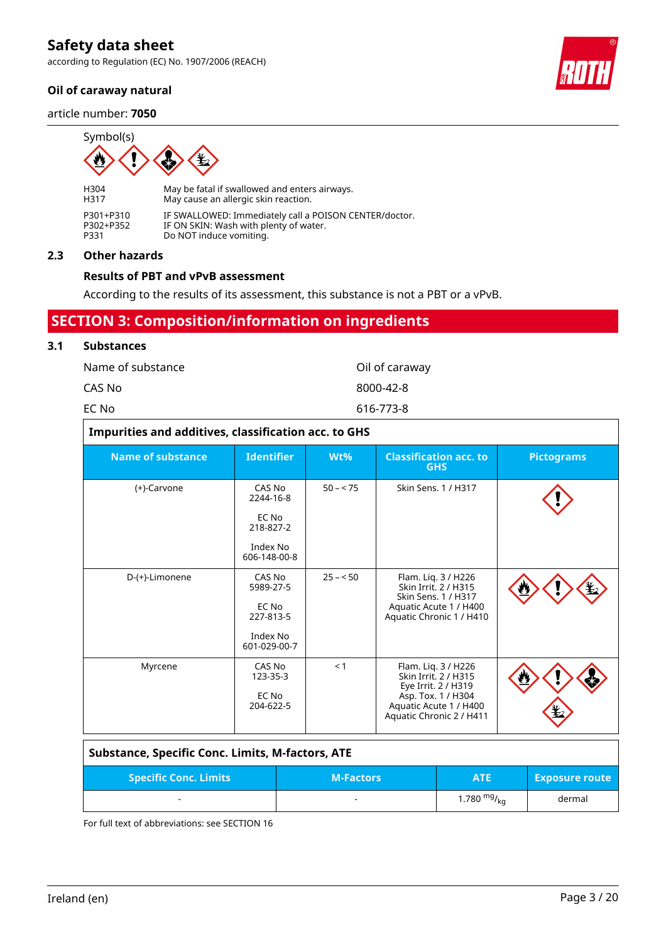according to Regulation (EC) No. 1907/2006 (REACH)

### **Oil of caraway natural**

article number: **7050**



H304 May be fatal if swallowed and enters airways.<br>H317 May cause an allergic skin reaction. May cause an allergic skin reaction. P301+P310 IF SWALLOWED: Immediately call a POISON CENTER/doctor.<br>P302+P352 IF ON SKIN: Wash with plenty of water. P302+P352 IF ON SKIN: Wash with plenty of water.<br>P331 Do NOT induce vomiting. Do NOT induce vomiting.

### **2.3 Other hazards**

### **Results of PBT and vPvB assessment**

According to the results of its assessment, this substance is not a PBT or a vPvB.

### **SECTION 3: Composition/information on ingredients**

### **3.1 Substances**

| Name of substance | Oil of caraway |
|-------------------|----------------|
| CAS No            | 8000-42-8      |
| EC No             | 616-773-8      |

| Impurities and additives, classification acc. to GHS |                                                                       |           |                                                                                                                                                |                   |
|------------------------------------------------------|-----------------------------------------------------------------------|-----------|------------------------------------------------------------------------------------------------------------------------------------------------|-------------------|
| <b>Name of substance</b>                             | <b>Identifier</b>                                                     | Wt%       | <b>Classification acc. to</b><br><b>GHS</b>                                                                                                    | <b>Pictograms</b> |
| (+)-Carvone                                          | CAS No<br>2244-16-8<br>EC No<br>218-827-2<br>Index No<br>606-148-00-8 | $50 - 75$ | Skin Sens. 1 / H317                                                                                                                            |                   |
| D-(+)-Limonene                                       | CAS No<br>5989-27-5<br>EC No<br>227-813-5<br>Index No<br>601-029-00-7 | $25 - 50$ | Flam. Liq. 3 / H226<br>Skin Irrit. 2 / H315<br>Skin Sens. 1 / H317<br>Aquatic Acute 1 / H400<br>Aquatic Chronic 1 / H410                       |                   |
| Myrcene                                              | CAS No<br>123-35-3<br>EC No<br>204-622-5                              | < 1       | Flam. Liq. 3 / H226<br>Skin Irrit. 2 / H315<br>Eye Irrit. 2 / H319<br>Asp. Tox. 1 / H304<br>Aquatic Acute 1 / H400<br>Aquatic Chronic 2 / H411 |                   |

| <b>Substance, Specific Conc. Limits, M-factors, ATE</b> |                  |                  |                       |
|---------------------------------------------------------|------------------|------------------|-----------------------|
| <b>Specific Conc. Limits</b>                            | <b>M-Factors</b> | <b>ATE</b>       | <b>Exposure route</b> |
|                                                         | -                | 1.780 $mg/_{kq}$ | dermal                |

For full text of abbreviations: see SECTION 16

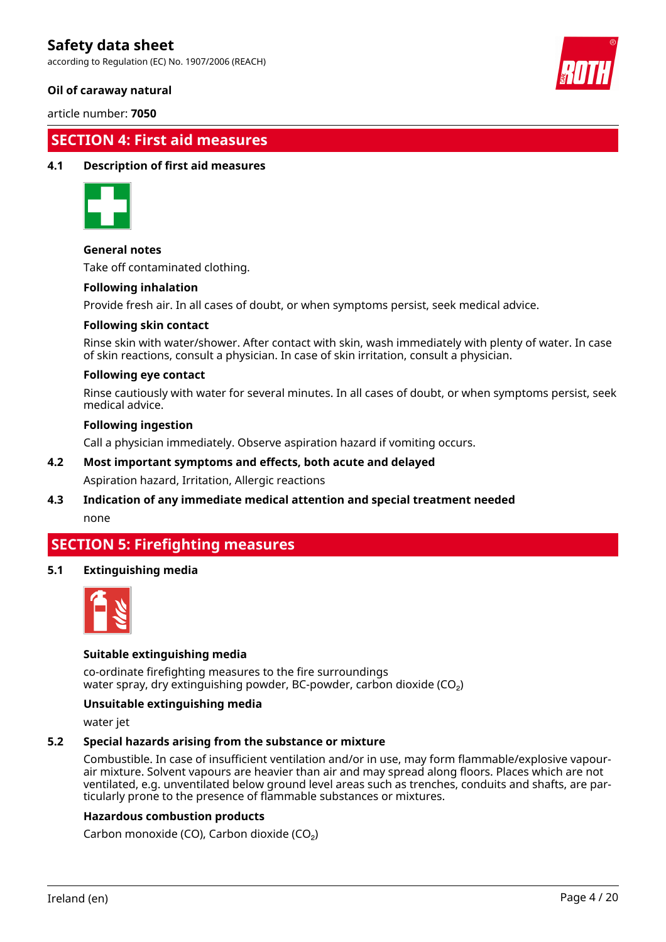according to Regulation (EC) No. 1907/2006 (REACH)

### **Oil of caraway natural**

article number: **7050**

### **SECTION 4: First aid measures**

### **4.1 Description of first aid measures**



### **General notes**

Take off contaminated clothing.

### **Following inhalation**

Provide fresh air. In all cases of doubt, or when symptoms persist, seek medical advice.

### **Following skin contact**

Rinse skin with water/shower. After contact with skin, wash immediately with plenty of water. In case of skin reactions, consult a physician. In case of skin irritation, consult a physician.

### **Following eye contact**

Rinse cautiously with water for several minutes. In all cases of doubt, or when symptoms persist, seek medical advice.

#### **Following ingestion**

Call a physician immediately. Observe aspiration hazard if vomiting occurs.

### **4.2 Most important symptoms and effects, both acute and delayed**

Aspiration hazard, Irritation, Allergic reactions

# **4.3 Indication of any immediate medical attention and special treatment needed**

none

### **SECTION 5: Firefighting measures**

### **5.1 Extinguishing media**



### **Suitable extinguishing media**

co-ordinate firefighting measures to the fire surroundings water spray, dry extinguishing powder, BC-powder, carbon dioxide (CO<sub>2</sub>)

#### **Unsuitable extinguishing media**

water jet

### **5.2 Special hazards arising from the substance or mixture**

Combustible. In case of insufficient ventilation and/or in use, may form flammable/explosive vapourair mixture. Solvent vapours are heavier than air and may spread along floors. Places which are not ventilated, e.g. unventilated below ground level areas such as trenches, conduits and shafts, are particularly prone to the presence of flammable substances or mixtures.

### **Hazardous combustion products**

Carbon monoxide (CO), Carbon dioxide (CO₂)



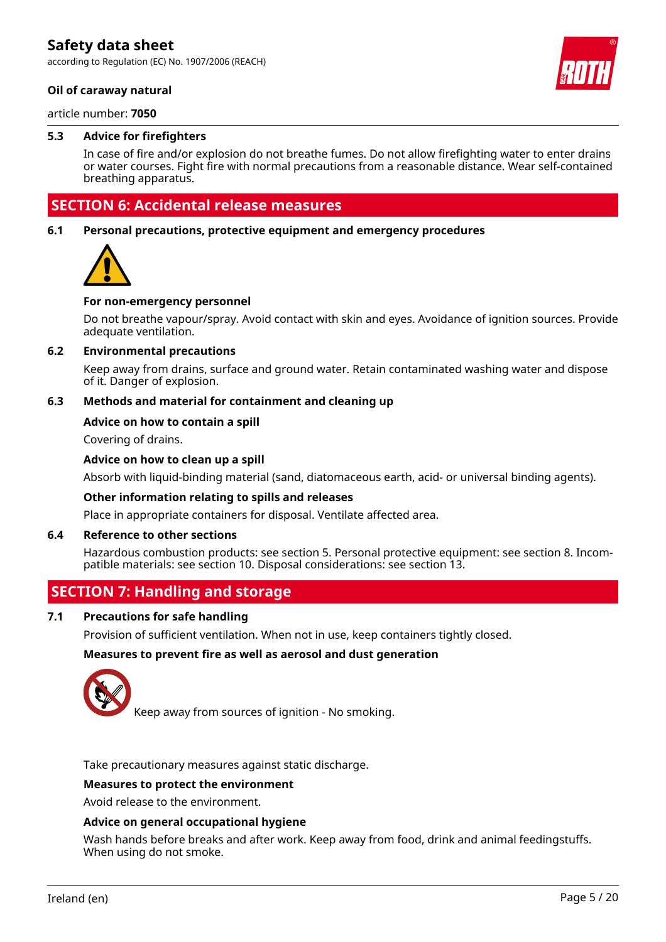according to Regulation (EC) No. 1907/2006 (REACH)

### **Oil of caraway natural**

article number: **7050**

### **5.3 Advice for firefighters**

In case of fire and/or explosion do not breathe fumes. Do not allow firefighting water to enter drains or water courses. Fight fire with normal precautions from a reasonable distance. Wear self-contained breathing apparatus.

### **SECTION 6: Accidental release measures**

### **6.1 Personal precautions, protective equipment and emergency procedures**



#### **For non-emergency personnel**

Do not breathe vapour/spray. Avoid contact with skin and eyes. Avoidance of ignition sources. Provide adequate ventilation.

#### **6.2 Environmental precautions**

Keep away from drains, surface and ground water. Retain contaminated washing water and dispose of it. Danger of explosion.

### **6.3 Methods and material for containment and cleaning up**

### **Advice on how to contain a spill**

Covering of drains.

### **Advice on how to clean up a spill**

Absorb with liquid-binding material (sand, diatomaceous earth, acid- or universal binding agents).

#### **Other information relating to spills and releases**

Place in appropriate containers for disposal. Ventilate affected area.

### **6.4 Reference to other sections**

Hazardous combustion products: see section 5. Personal protective equipment: see section 8. Incompatible materials: see section 10. Disposal considerations: see section 13.

### **SECTION 7: Handling and storage**

#### **7.1 Precautions for safe handling**

Provision of sufficient ventilation. When not in use, keep containers tightly closed.

#### **Measures to prevent fire as well as aerosol and dust generation**



Keep away from sources of ignition - No smoking.

Take precautionary measures against static discharge.

#### **Measures to protect the environment**

Avoid release to the environment.

#### **Advice on general occupational hygiene**

Wash hands before breaks and after work. Keep away from food, drink and animal feedingstuffs. When using do not smoke.

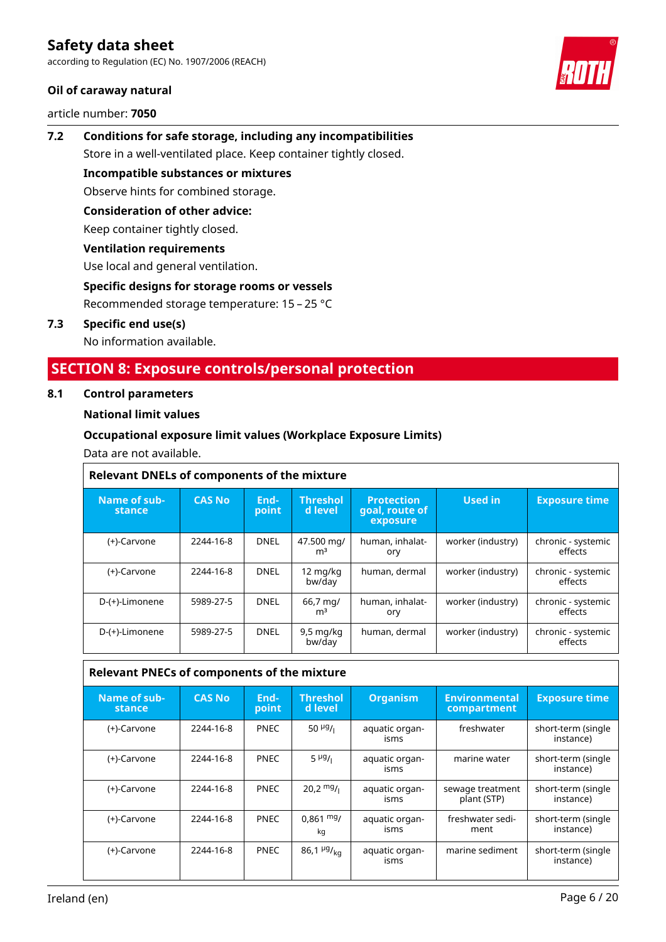according to Regulation (EC) No. 1907/2006 (REACH)

### **Oil of caraway natural**

article number: **7050**



# **7.2 Conditions for safe storage, including any incompatibilities** Store in a well-ventilated place. Keep container tightly closed.

**Incompatible substances or mixtures**

Observe hints for combined storage.

### **Consideration of other advice:**

Keep container tightly closed.

### **Ventilation requirements**

Use local and general ventilation.

### **Specific designs for storage rooms or vessels**

Recommended storage temperature: 15 – 25 °C

### **7.3 Specific end use(s)**

No information available.

# **SECTION 8: Exposure controls/personal protection**

### **8.1 Control parameters**

### **National limit values**

### **Occupational exposure limit values (Workplace Exposure Limits)**

Data are not available.

| <b>Relevant DNELs of components of the mixture</b> |               |               |                               |                                                 |                   |                               |
|----------------------------------------------------|---------------|---------------|-------------------------------|-------------------------------------------------|-------------------|-------------------------------|
| Name of sub-<br>stance                             | <b>CAS No</b> | End-<br>point | <b>Threshol</b><br>d level    | <b>Protection</b><br>goal, route of<br>exposure | <b>Used in</b>    | <b>Exposure time</b>          |
| (+)-Carvone                                        | 2244-16-8     | <b>DNEL</b>   | 47.500 mg/<br>m <sup>3</sup>  | human, inhalat-<br>ory                          | worker (industry) | chronic - systemic<br>effects |
| (+)-Carvone                                        | 2244-16-8     | DNEL          | 12 mg/kg<br>bw/day            | human, dermal                                   | worker (industry) | chronic - systemic<br>effects |
| D-(+)-Limonene                                     | 5989-27-5     | <b>DNEL</b>   | 66,7 mg/<br>m <sup>3</sup>    | human, inhalat-<br>ory                          | worker (industry) | chronic - systemic<br>effects |
| D-(+)-Limonene                                     | 5989-27-5     | DNEL          | $9,5 \text{ mg/kg}$<br>bw/day | human, dermal                                   | worker (industry) | chronic - systemic<br>effects |

### **Relevant PNECs of components of the mixture**

| Name of sub-<br>stance | <b>CAS No</b> | End-<br>point | <b>Threshol</b><br>'d level | <b>Organism</b>        | <b>Environmental</b><br>compartment | <b>Exposure time</b>            |
|------------------------|---------------|---------------|-----------------------------|------------------------|-------------------------------------|---------------------------------|
| (+)-Carvone            | 2244-16-8     | <b>PNEC</b>   | 50 $\mu$ g/ <sub>1</sub>    | aquatic organ-<br>isms | freshwater                          | short-term (single<br>instance) |
| (+)-Carvone            | 2244-16-8     | <b>PNEC</b>   | $5 \frac{\mu g}{\mu}$       | aquatic organ-<br>isms | marine water                        | short-term (single<br>instance) |
| (+)-Carvone            | 2244-16-8     | <b>PNEC</b>   | $20.2 \frac{mg}{l}$         | aquatic organ-<br>isms | sewage treatment<br>plant (STP)     | short-term (single<br>instance) |
| (+)-Carvone            | 2244-16-8     | <b>PNEC</b>   | $0,861 \text{ mg}$<br>kq    | aquatic organ-<br>isms | freshwater sedi-<br>ment            | short-term (single<br>instance) |
| (+)-Carvone            | 2244-16-8     | <b>PNEC</b>   | 86,1 $\mu$ g/ <sub>ka</sub> | aquatic organ-<br>isms | marine sediment                     | short-term (single<br>instance) |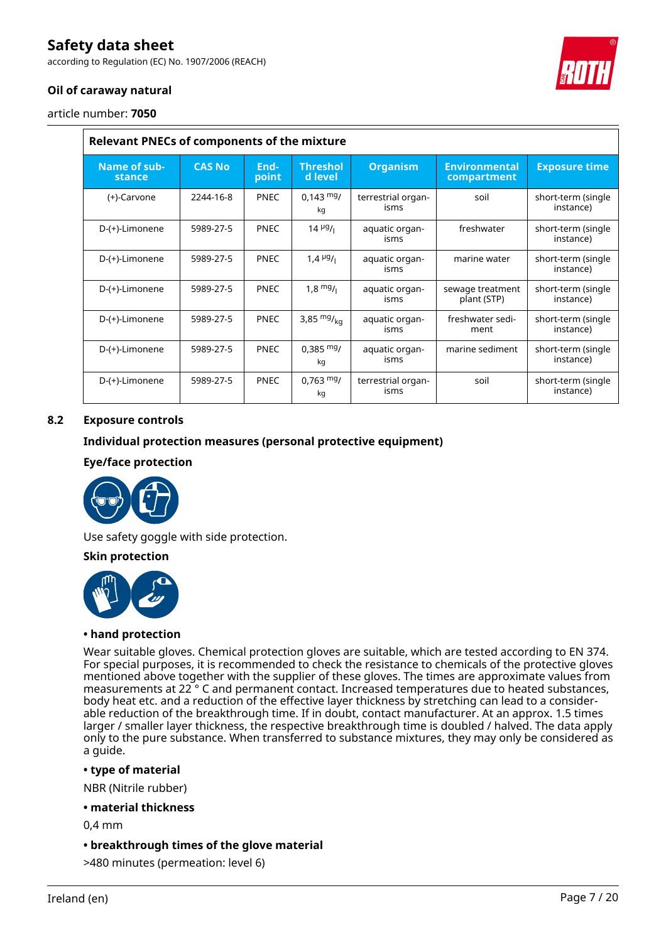according to Regulation (EC) No. 1907/2006 (REACH)

### **Oil of caraway natural**

article number: **7050**

| <b>Relevant PNECs of components of the mixture</b> |               |               |                                       |                            |                                     |                                 |
|----------------------------------------------------|---------------|---------------|---------------------------------------|----------------------------|-------------------------------------|---------------------------------|
| Name of sub-<br>stance                             | <b>CAS No</b> | End-<br>point | <b>Threshol</b><br>d level            | <b>Organism</b>            | <b>Environmental</b><br>compartment | <b>Exposure time</b>            |
| (+)-Carvone                                        | 2244-16-8     | <b>PNEC</b>   | $0,143 \text{ mg}$<br>kq              | terrestrial organ-<br>isms | soil                                | short-term (single<br>instance) |
| D-(+)-Limonene                                     | 5989-27-5     | <b>PNEC</b>   | $14 \frac{\mu g}{\mu}$                | aquatic organ-<br>isms     | freshwater                          | short-term (single<br>instance) |
| D-(+)-Limonene                                     | 5989-27-5     | <b>PNEC</b>   | 1,4 $\mu$ <sup>g</sup> / <sub>1</sub> | aquatic organ-<br>isms     | marine water                        | short-term (single<br>instance) |
| D-(+)-Limonene                                     | 5989-27-5     | <b>PNEC</b>   | $1.8 \frac{mg}{l}$                    | aquatic organ-<br>isms     | sewage treatment<br>plant (STP)     | short-term (single<br>instance) |
| D-(+)-Limonene                                     | 5989-27-5     | <b>PNEC</b>   | 3,85 $mg/kq$                          | aquatic organ-<br>isms     | freshwater sedi-<br>ment            | short-term (single<br>instance) |
| D-(+)-Limonene                                     | 5989-27-5     | <b>PNEC</b>   | $0,385 \text{ mg}$<br>kg              | aquatic organ-<br>isms     | marine sediment                     | short-term (single<br>instance) |
| D-(+)-Limonene                                     | 5989-27-5     | <b>PNEC</b>   | $0.763$ mg/<br>kg                     | terrestrial organ-<br>isms | soil                                | short-term (single<br>instance) |

### **8.2 Exposure controls**

### **Individual protection measures (personal protective equipment)**

### **Eye/face protection**



Use safety goggle with side protection.

### **Skin protection**



### **• hand protection**

Wear suitable gloves. Chemical protection gloves are suitable, which are tested according to EN 374. For special purposes, it is recommended to check the resistance to chemicals of the protective gloves mentioned above together with the supplier of these gloves. The times are approximate values from measurements at 22 ° C and permanent contact. Increased temperatures due to heated substances, body heat etc. and a reduction of the effective layer thickness by stretching can lead to a considerable reduction of the breakthrough time. If in doubt, contact manufacturer. At an approx. 1.5 times larger / smaller layer thickness, the respective breakthrough time is doubled / halved. The data apply only to the pure substance. When transferred to substance mixtures, they may only be considered as a guide.

### **• type of material**

NBR (Nitrile rubber)

#### **• material thickness**

0,4 mm

**• breakthrough times of the glove material**

>480 minutes (permeation: level 6)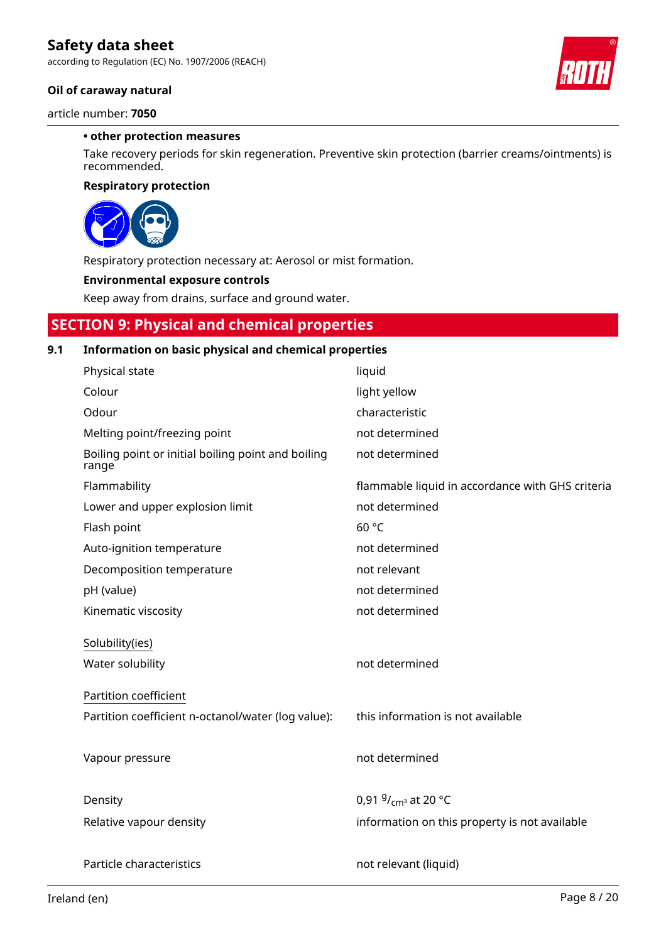according to Regulation (EC) No. 1907/2006 (REACH)

### **Oil of caraway natural**

article number: **7050**

### **• other protection measures**

Take recovery periods for skin regeneration. Preventive skin protection (barrier creams/ointments) is recommended.

### **Respiratory protection**



Respiratory protection necessary at: Aerosol or mist formation.

### **Environmental exposure controls**

Keep away from drains, surface and ground water.

### **SECTION 9: Physical and chemical properties**

### **9.1 Information on basic physical and chemical properties**

| Physical state                                              | liquid                                           |
|-------------------------------------------------------------|--------------------------------------------------|
| Colour                                                      | light yellow                                     |
| Odour                                                       | characteristic                                   |
| Melting point/freezing point                                | not determined                                   |
| Boiling point or initial boiling point and boiling<br>range | not determined                                   |
| Flammability                                                | flammable liquid in accordance with GHS criteria |
| Lower and upper explosion limit                             | not determined                                   |
| Flash point                                                 | 60 °C                                            |
| Auto-ignition temperature                                   | not determined                                   |
| Decomposition temperature                                   | not relevant                                     |
| pH (value)                                                  | not determined                                   |
| Kinematic viscosity                                         | not determined                                   |
| Solubility(ies)                                             |                                                  |
|                                                             |                                                  |
|                                                             |                                                  |
| Water solubility                                            | not determined                                   |
| Partition coefficient                                       |                                                  |
| Partition coefficient n-octanol/water (log value):          | this information is not available                |
|                                                             |                                                  |
| Vapour pressure                                             | not determined                                   |
|                                                             |                                                  |
| Density                                                     | 0,91 $9/_{cm^3}$ at 20 °C                        |
| Relative vapour density                                     | information on this property is not available    |
|                                                             |                                                  |
| Particle characteristics                                    | not relevant (liquid)                            |

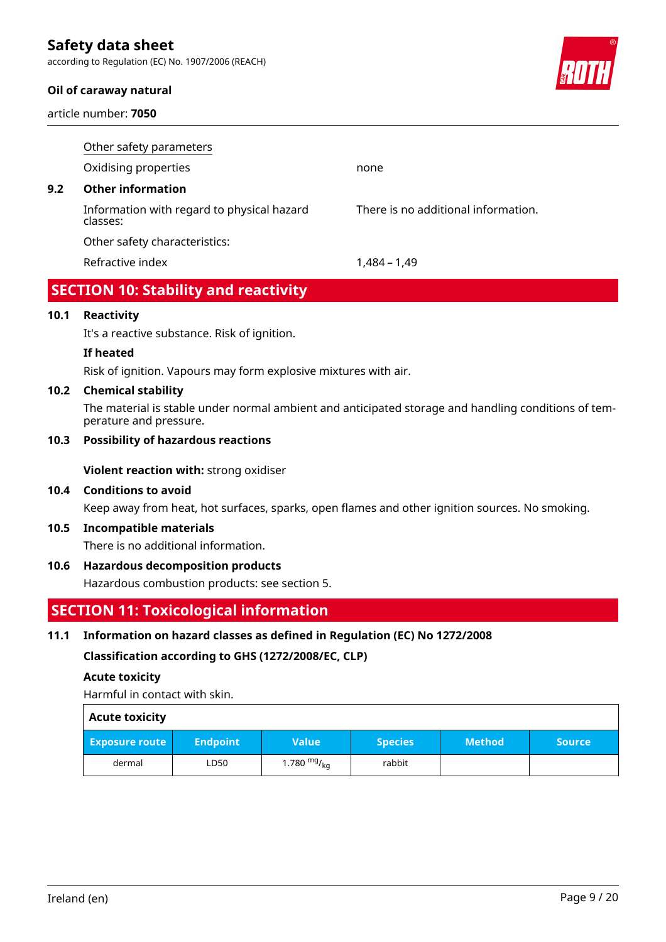according to Regulation (EC) No. 1907/2006 (REACH)

### **Oil of caraway natural**

article number: **7050**



|     | Other safety parameters                                |                                     |
|-----|--------------------------------------------------------|-------------------------------------|
|     | Oxidising properties                                   | none                                |
| 9.2 | <b>Other information</b>                               |                                     |
|     | Information with regard to physical hazard<br>classes: | There is no additional information. |
|     | Other safety characteristics:                          |                                     |
|     | Refractive index                                       | 1.484 – 1.49                        |
|     |                                                        |                                     |

# **SECTION 10: Stability and reactivity**

### **10.1 Reactivity**

It's a reactive substance. Risk of ignition.

### **If heated**

Risk of ignition. Vapours may form explosive mixtures with air.

### **10.2 Chemical stability**

The material is stable under normal ambient and anticipated storage and handling conditions of temperature and pressure.

### **10.3 Possibility of hazardous reactions**

**Violent reaction with:** strong oxidiser

### **10.4 Conditions to avoid**

Keep away from heat, hot surfaces, sparks, open flames and other ignition sources. No smoking.

### **10.5 Incompatible materials**

There is no additional information.

### **10.6 Hazardous decomposition products**

Hazardous combustion products: see section 5.

### **SECTION 11: Toxicological information**

### **11.1 Information on hazard classes as defined in Regulation (EC) No 1272/2008**

**Classification according to GHS (1272/2008/EC, CLP)**

### **Acute toxicity**

Harmful in contact with skin.

| <b>Acute toxicity</b> |
|-----------------------|
|                       |

| <b>Exposure route</b> | <b>Endpoint</b> | Value'                 | <b>Species</b> | <b>Method</b> | <b>Source</b> |
|-----------------------|-----------------|------------------------|----------------|---------------|---------------|
| dermal                | LD50            | 1.780 $mgr{_{\rm kq}}$ | rabbit         |               |               |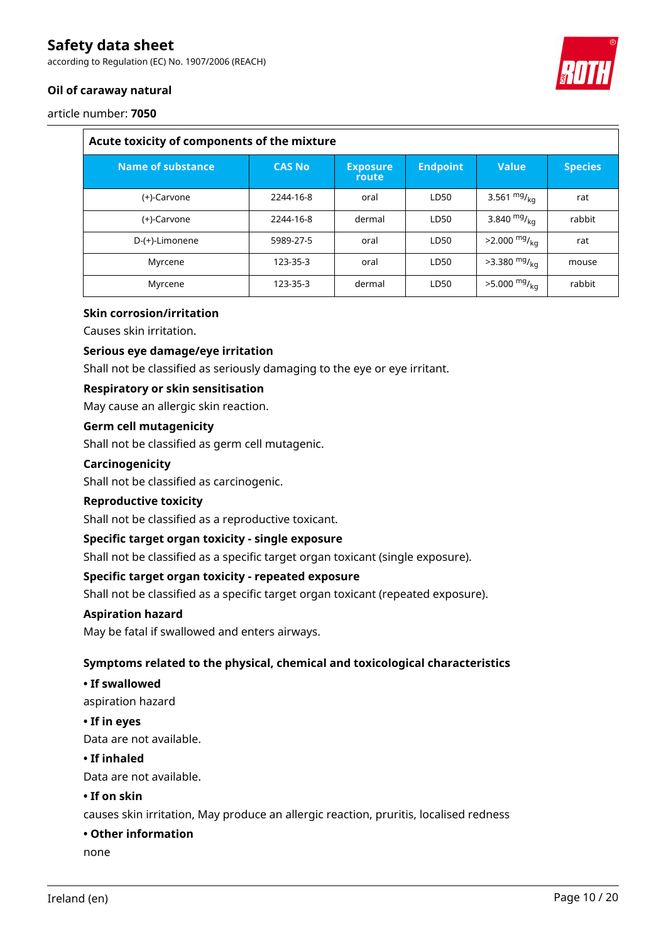according to Regulation (EC) No. 1907/2006 (REACH)



### **Oil of caraway natural**

article number: **7050**

| Acute toxicity of components of the mixture |               |                          |                 |                            |                |
|---------------------------------------------|---------------|--------------------------|-----------------|----------------------------|----------------|
| Name of substance                           | <b>CAS No</b> | <b>Exposure</b><br>route | <b>Endpoint</b> | <b>Value</b>               | <b>Species</b> |
| (+)-Carvone                                 | 2244-16-8     | oral                     | LD50            | 3.561 $mg/_{kq}$           | rat            |
| (+)-Carvone                                 | 2244-16-8     | dermal                   | LD50            | 3.840 $mg/_{ka}$           | rabbit         |
| D-(+)-Limonene                              | 5989-27-5     | oral                     | LD50            | $>2.000 \frac{mg}{kg}$     | rat            |
| Myrcene                                     | 123-35-3      | oral                     | LD50            | $>3.380$ mg/ <sub>kg</sub> | mouse          |
| Myrcene                                     | 123-35-3      | dermal                   | LD50            | $>5.000 \frac{mg}{kg}$     | rabbit         |

### **Skin corrosion/irritation**

Causes skin irritation.

### **Serious eye damage/eye irritation**

Shall not be classified as seriously damaging to the eye or eye irritant.

### **Respiratory or skin sensitisation**

May cause an allergic skin reaction.

### **Germ cell mutagenicity**

Shall not be classified as germ cell mutagenic.

### **Carcinogenicity**

Shall not be classified as carcinogenic.

### **Reproductive toxicity**

Shall not be classified as a reproductive toxicant.

### **Specific target organ toxicity - single exposure**

Shall not be classified as a specific target organ toxicant (single exposure).

### **Specific target organ toxicity - repeated exposure**

Shall not be classified as a specific target organ toxicant (repeated exposure).

#### **Aspiration hazard**

May be fatal if swallowed and enters airways.

### **Symptoms related to the physical, chemical and toxicological characteristics**

### **• If swallowed**

aspiration hazard

### **• If in eyes**

Data are not available.

### **• If inhaled**

Data are not available.

### **• If on skin**

causes skin irritation, May produce an allergic reaction, pruritis, localised redness

### **• Other information**

none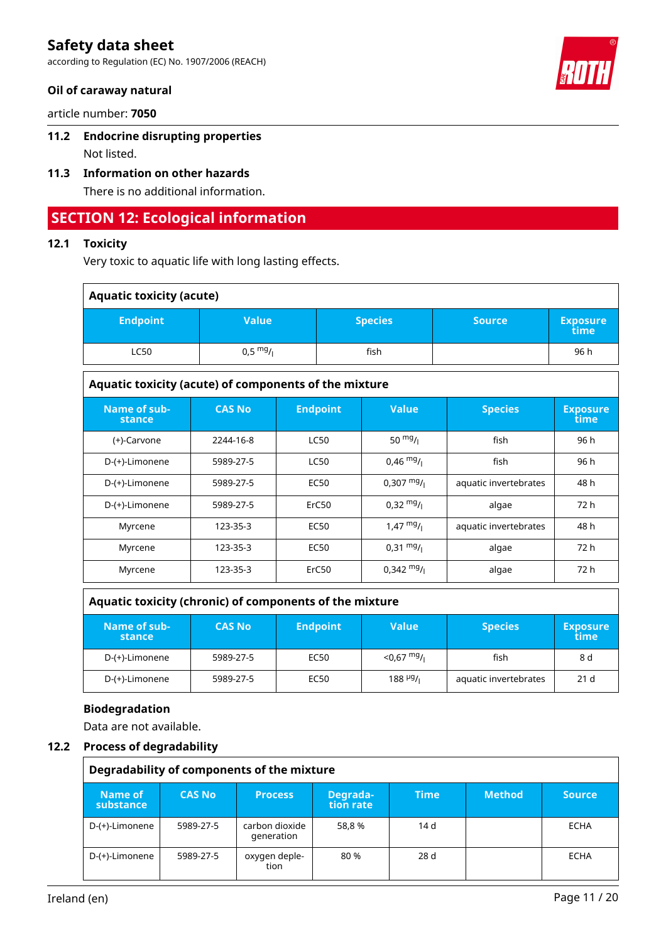according to Regulation (EC) No. 1907/2006 (REACH)

### **Oil of caraway natural**

article number: **7050**

# **11.2 Endocrine disrupting properties**

Not listed.

# **11.3 Information on other hazards**

There is no additional information.

# **SECTION 12: Ecological information**

### **12.1 Toxicity**

Very toxic to aquatic life with long lasting effects.

| <b>Aquatic toxicity (acute)</b> |                    |                |               |                         |  |
|---------------------------------|--------------------|----------------|---------------|-------------------------|--|
| <b>Endpoint</b>                 | Value              | <b>Species</b> | <b>Source</b> | <b>Exposure</b><br>time |  |
| <b>LC50</b>                     | $0,5 \frac{mg}{l}$ | fish           |               | 96 h                    |  |
|                                 |                    |                |               |                         |  |

| Aquatic toxicity (acute) of components of the mixture |               |                   |                      |                       |                         |  |
|-------------------------------------------------------|---------------|-------------------|----------------------|-----------------------|-------------------------|--|
| Name of sub-<br><b>stance</b>                         | <b>CAS No</b> | <b>Endpoint</b>   | <b>Value</b>         | <b>Species</b>        | <b>Exposure</b><br>time |  |
| (+)-Carvone                                           | 2244-16-8     | <b>LC50</b>       | 50 $mg/1$            | fish                  | 96 h                    |  |
| D-(+)-Limonene                                        | 5989-27-5     | <b>LC50</b>       | $0,46 \frac{mg}{l}$  | fish                  | 96 h                    |  |
| D-(+)-Limonene                                        | 5989-27-5     | <b>EC50</b>       | $0,307 \text{ mg}$ / | aquatic invertebrates | 48 h                    |  |
| D-(+)-Limonene                                        | 5989-27-5     | ErC <sub>50</sub> | $0,32 \frac{mg}{l}$  | algae                 | 72 h                    |  |
| Myrcene                                               | 123-35-3      | <b>EC50</b>       | $1,47 \frac{mg}{l}$  | aquatic invertebrates | 48 h                    |  |
| Myrcene                                               | 123-35-3      | <b>EC50</b>       | $0.31 \frac{mg}{l}$  | algae                 | 72 h                    |  |
| Myrcene                                               | 123-35-3      | ErC <sub>50</sub> | $0,342 \frac{mg}{l}$ | algae                 | 72 h                    |  |

### **Aquatic toxicity (chronic) of components of the mixture**

| Name of sub-<br>stance | <b>CAS No</b> | <b>Endpoint</b> | <b>Value</b>         | <b>Species</b>        | <b>Exposure</b><br>time |
|------------------------|---------------|-----------------|----------------------|-----------------------|-------------------------|
| D-(+)-Limonene         | 5989-27-5     | EC50            | $<$ 0,67 mg/         | fish                  | 8 d                     |
| D-(+)-Limonene         | 5989-27-5     | EC50            | 188 <sup>µg</sup> /ı | aquatic invertebrates | 21 <sub>d</sub>         |

### **Biodegradation**

Data are not available.

### **12.2 Process of degradability**

|                      | Degradability of components of the mixture |                              |                       |             |               |        |
|----------------------|--------------------------------------------|------------------------------|-----------------------|-------------|---------------|--------|
| Name of<br>substance | <b>CAS No</b>                              | <b>Process</b>               | Degrada-<br>tion rate | <b>Time</b> | <b>Method</b> | Source |
| D-(+)-Limonene       | 5989-27-5                                  | carbon dioxide<br>generation | 58.8%                 | 14d         |               | ECHA   |
| D-(+)-Limonene       | 5989-27-5                                  | oxygen deple-<br>tion        | 80 %                  | 28 d        |               | ECHA   |

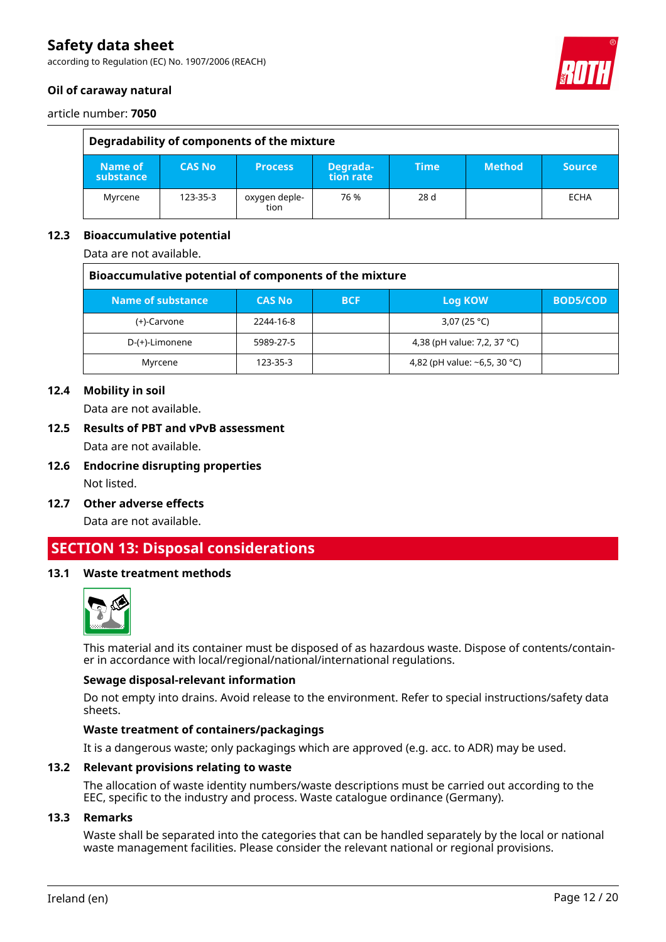according to Regulation (EC) No. 1907/2006 (REACH)

### **Oil of caraway natural**



article number: **7050**

| Degradability of components of the mixture |               |                       |                       |        |               |               |
|--------------------------------------------|---------------|-----------------------|-----------------------|--------|---------------|---------------|
| Name of<br>substance                       | <b>CAS No</b> | <b>Process</b>        | Degrada-<br>tion rate | \Time! | <b>Method</b> | <b>Source</b> |
| Myrcene                                    | 123-35-3      | oxygen deple-<br>tion | 76 %                  | 28 d   |               | <b>ECHA</b>   |

### **12.3 Bioaccumulative potential**

Data are not available.

| Bioaccumulative potential of components of the mixture |               |            |                                    |                 |
|--------------------------------------------------------|---------------|------------|------------------------------------|-----------------|
| Name of substance                                      | <b>CAS No</b> | <b>BCF</b> | Log KOW                            | <b>BOD5/COD</b> |
| (+)-Carvone                                            | 2244-16-8     |            | 3,07 (25 °C)                       |                 |
| D-(+)-Limonene                                         | 5989-27-5     |            | 4,38 (pH value: 7,2, 37 °C)        |                 |
| Myrcene                                                | 123-35-3      |            | 4,82 (pH value: $\sim$ 6,5, 30 °C) |                 |

### **12.4 Mobility in soil**

Data are not available.

**12.5 Results of PBT and vPvB assessment**

Data are not available.

- **12.6 Endocrine disrupting properties** Not listed.
- **12.7 Other adverse effects** Data are not available.

# **SECTION 13: Disposal considerations**

### **13.1 Waste treatment methods**



This material and its container must be disposed of as hazardous waste. Dispose of contents/container in accordance with local/regional/national/international regulations.

### **Sewage disposal-relevant information**

Do not empty into drains. Avoid release to the environment. Refer to special instructions/safety data sheets.

### **Waste treatment of containers/packagings**

It is a dangerous waste; only packagings which are approved (e.g. acc. to ADR) may be used.

#### **13.2 Relevant provisions relating to waste**

The allocation of waste identity numbers/waste descriptions must be carried out according to the EEC, specific to the industry and process. Waste catalogue ordinance (Germany).

#### **13.3 Remarks**

Waste shall be separated into the categories that can be handled separately by the local or national waste management facilities. Please consider the relevant national or regional provisions.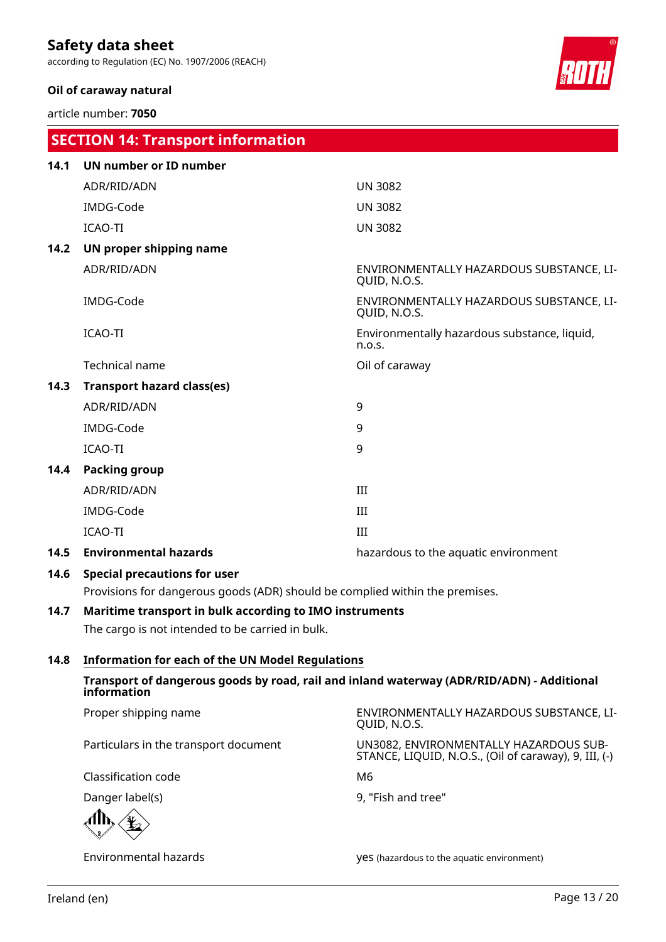according to Regulation (EC) No. 1907/2006 (REACH)

 **SECTION 14: Transport information**

### **Oil of caraway natural**

article number: **7050**



|      | <u>section in mansportmonaudion</u>                                          |                                                          |
|------|------------------------------------------------------------------------------|----------------------------------------------------------|
| 14.1 | <b>UN number or ID number</b>                                                |                                                          |
|      | ADR/RID/ADN                                                                  | <b>UN 3082</b>                                           |
|      | IMDG-Code                                                                    | <b>UN 3082</b>                                           |
|      | ICAO-TI                                                                      | <b>UN 3082</b>                                           |
| 14.2 | UN proper shipping name                                                      |                                                          |
|      | ADR/RID/ADN                                                                  | ENVIRONMENTALLY HAZARDOUS SUBSTANCE, LI-<br>QUID, N.O.S. |
|      | IMDG-Code                                                                    | ENVIRONMENTALLY HAZARDOUS SUBSTANCE, LI-<br>QUID, N.O.S. |
|      | ICAO-TI                                                                      | Environmentally hazardous substance, liquid,<br>n.o.s.   |
|      | <b>Technical name</b>                                                        | Oil of caraway                                           |
| 14.3 | <b>Transport hazard class(es)</b>                                            |                                                          |
|      | ADR/RID/ADN                                                                  | 9                                                        |
|      | IMDG-Code                                                                    | 9                                                        |
|      | ICAO-TI                                                                      | 9                                                        |
| 14.4 | Packing group                                                                |                                                          |
|      | ADR/RID/ADN                                                                  | III                                                      |
|      | IMDG-Code                                                                    | III                                                      |
|      | ICAO-TI                                                                      | III                                                      |
| 14.5 | <b>Environmental hazards</b>                                                 | hazardous to the aquatic environment                     |
| 14.6 | <b>Special precautions for user</b>                                          |                                                          |
|      | Provisions for dangerous goods (ADR) should be complied within the premises. |                                                          |
| 14.7 | Maritime transport in bulk according to IMO instruments                      |                                                          |
|      | The cargo is not intended to be carried in bulk.                             |                                                          |
|      |                                                                              |                                                          |

**14.8 Information for each of the UN Model Regulations**

**Transport of dangerous goods by road, rail and inland waterway (ADR/RID/ADN) - Additional information**

Proper shipping name ENVIRONMENTALLY HAZARDOUS SUBSTANCE, LI-QUID, N.O.S. Particulars in the transport document UN3082, ENVIRONMENTALLY HAZARDOUS SUB-STANCE, LIQUID, N.O.S., (Oil of caraway), 9, III, (-) Classification code M6 Danger label(s) 8, "Fish and tree"

Environmental hazards yes (hazardous to the aquatic environment)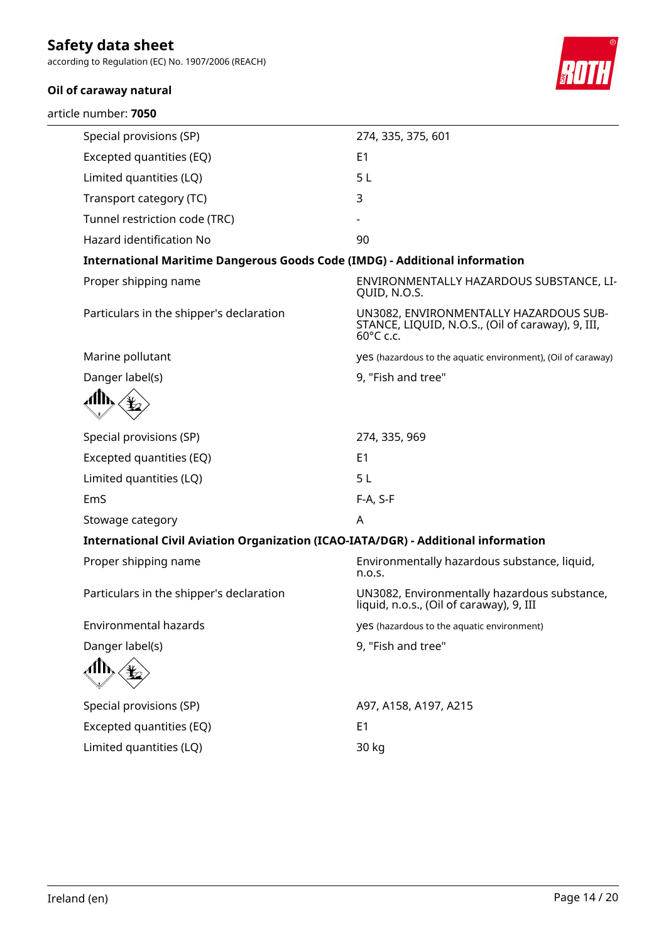according to Regulation (EC) No. 1907/2006 (REACH)

### **Oil of caraway natural**

article number: **7050**



| Special provisions (SP)                                                            | 274, 335, 375, 601                                                                                       |
|------------------------------------------------------------------------------------|----------------------------------------------------------------------------------------------------------|
| Excepted quantities (EQ)                                                           | E1                                                                                                       |
| Limited quantities (LQ)                                                            | 5L                                                                                                       |
| Transport category (TC)                                                            | 3                                                                                                        |
| Tunnel restriction code (TRC)                                                      |                                                                                                          |
| Hazard identification No                                                           | 90                                                                                                       |
| <b>International Maritime Dangerous Goods Code (IMDG) - Additional information</b> |                                                                                                          |
| Proper shipping name                                                               | ENVIRONMENTALLY HAZARDOUS SUBSTANCE, LI-<br>QUID, N.O.S.                                                 |
| Particulars in the shipper's declaration                                           | UN3082, ENVIRONMENTALLY HAZARDOUS SUB-<br>STANCE, LIQUID, N.O.S., (Oil of caraway), 9, III,<br>60°C c.c. |
| Marine pollutant                                                                   | yes (hazardous to the aquatic environment), (Oil of caraway)                                             |
| Danger label(s)                                                                    | 9, "Fish and tree"                                                                                       |
|                                                                                    |                                                                                                          |
| Special provisions (SP)                                                            | 274, 335, 969                                                                                            |
| Excepted quantities (EQ)                                                           | E1                                                                                                       |
| Limited quantities (LQ)                                                            | 5L                                                                                                       |
| EmS                                                                                | F-A, S-F                                                                                                 |
| Stowage category                                                                   | A                                                                                                        |
| International Civil Aviation Organization (ICAO-IATA/DGR) - Additional information |                                                                                                          |
| Proper shipping name                                                               | Environmentally hazardous substance, liquid,<br>n.o.s.                                                   |
| Particulars in the shipper's declaration                                           | UN3082, Environmentally hazardous substance,<br>liquid, n.o.s., (Oil of caraway), 9, III                 |
| Environmental hazards                                                              | yes (hazardous to the aquatic environment)                                                               |
| Danger label(s)                                                                    | 9, "Fish and tree"                                                                                       |
|                                                                                    |                                                                                                          |
| Special provisions (SP)                                                            | A97, A158, A197, A215                                                                                    |
| Excepted quantities (EQ)                                                           | E <sub>1</sub>                                                                                           |
| Limited quantities (LQ)                                                            | 30 kg                                                                                                    |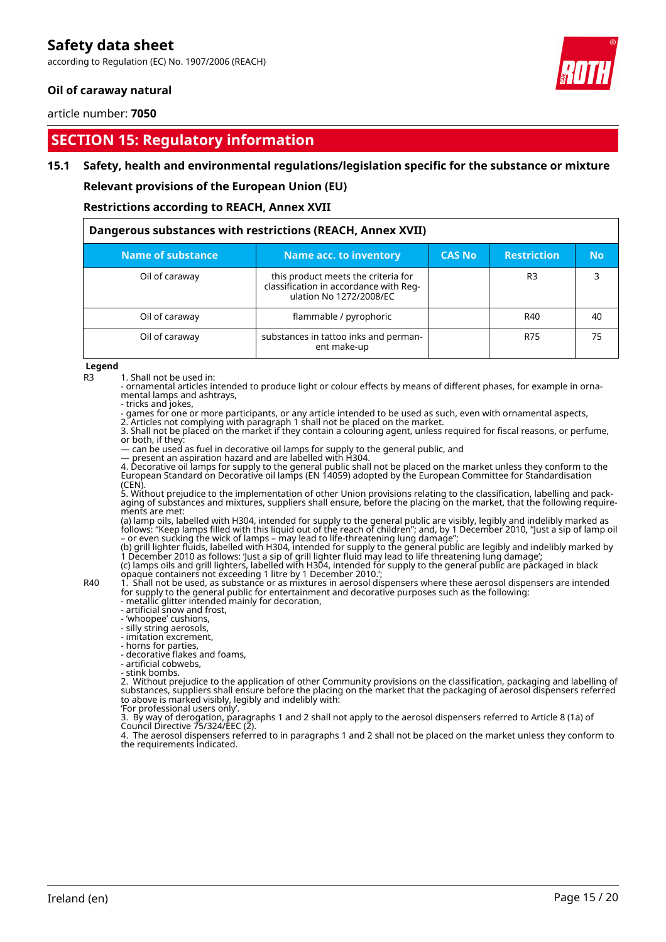according to Regulation (EC) No. 1907/2006 (REACH)

### **Oil of caraway natural**

article number: **7050**

## **SECTION 15: Regulatory information**

### **15.1 Safety, health and environmental regulations/legislation specific for the substance or mixture**

**Relevant provisions of the European Union (EU)**

**Restrictions according to REACH, Annex XVII**

| Dangerous substances with restrictions (REACH, Annex XVII) |                                                                                                          |               |                    |           |
|------------------------------------------------------------|----------------------------------------------------------------------------------------------------------|---------------|--------------------|-----------|
| Name of substance                                          | Name acc. to inventory                                                                                   | <b>CAS No</b> | <b>Restriction</b> | <b>No</b> |
| Oil of caraway                                             | this product meets the criteria for<br>classification in accordance with Req-<br>ulation No 1272/2008/EC |               | R <sub>3</sub>     |           |
| Oil of caraway                                             | flammable / pyrophoric                                                                                   |               | R40                | 40        |
| Oil of caraway                                             | substances in tattoo inks and perman-<br>ent make-up                                                     |               | R75                | 75        |

**Legend**

R3 1. Shall not be used in:

- ornamental articles intended to produce light or colour effects by means of different phases, for example in ornamental lamps and ashtrays,

- tricks and jokes,

- games for one or more participants, or any article intended to be used as such, even with ornamental aspects, 2. Articles not complying with paragraph 1 shall not be placed on the market.

3. Shall not be placed on the market if they contain a colouring agent, unless required for fiscal reasons, or perfume, or both, if they:

— can be used as fuel in decorative oil lamps for supply to the general public, and

— present an aspiration hazard and are labelled with H304.

4. Decorative oil lamps for supply to the general public shall not be placed on the market unless they conform to the European Standard on Decorative oil lamps (EN 14059) adopted by the European Committee for Standardisation (CEN).

5. Without prejudice to the implementation of other Union provisions relating to the classification, labelling and packaging of substances and mixtures, suppliers shall ensure, before the placing on the market, that the following requirements are met:

(a) lamp oils, labelled with H304, intended for supply to the general public are visibly, legibly and indelibly marked as follows: "Keep lamps filled with this liquid out of the reach of children"; and, by 1 December 2010, "Just a sip of lamp oil – or even sucking the wick of lamps – may lead to life-threatening lung damage";

(b) grill lighter fluids, labelled with H304, intended for supply to the general public are legibly and indelibly marked by 1 December 2010 as follows: 'Just a sip of grill lighter fluid may lead to life threatening lung damage'; (c) lamps oils and grill lighters, labelled with H304, intended for supply to the general public are packaged in black opaque containers not exceeding 1 litre by 1 December 2010.';

R40 1. Shall not be used, as substance or as mixtures in aerosol dispensers where these aerosol dispensers are intended for supply to the general public for entertainment and decorative purposes such as the following:

- metallic glitter intended mainly for decoration, - artificial snow and frost,

- 'whoopee' cushions,

- silly string aerosols,

- imitation excrement,

- horns for parties,

- decorative flakes and foams,

- artificial cobwebs,

- stink bombs.

2. Without prejudice to the application of other Community provisions on the classification, packaging and labelling of substances, suppliers shall ensure before the placing on the market that the packaging of aerosol dispensers referred to above is marked visibly, legibly and indelibly with:

'For professional users only'.

3. By way of derogation, paragraphs 1 and 2 shall not apply to the aerosol dispensers referred to Article 8 (1a) of Council Directive 75/324/EEC (2).

4. The aerosol dispensers referred to in paragraphs 1 and 2 shall not be placed on the market unless they conform to the requirements indicated.



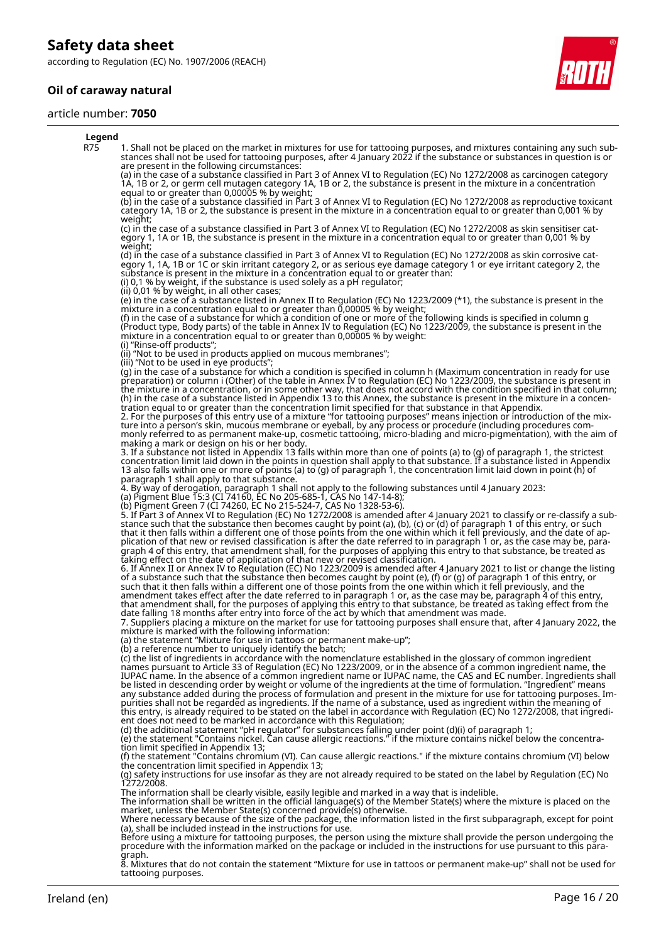according to Regulation (EC) No. 1907/2006 (REACH)

### **Oil of caraway natural**

#### article number: **7050**



#### **Legend** R75 1. Shall not be placed on the market in mixtures for use for tattooing purposes, and mixtures containing any such substances shall not be used for tattooing purposes, after 4 January 2022 if the substance or substances in question is or are present in the following circumstances: (a) in the case of a substance classified in Part 3 of Annex VI to Regulation (EC) No 1272/2008 as carcinogen category 1A, 1B or 2, or germ cell mutagen category 1A, 1B or 2, the substance is present in the mixture in a concentration equal to or greater than 0,00005 % by weight; (b) in the case of a substance classified in Part 3 of Annex VI to Regulation (EC) No 1272/2008 as reproductive toxicant category 1A, 1B or 2, the substance is present in the mixture in a concentration equal to or greater than 0,001 % by weight; (c) in the case of a substance classified in Part 3 of Annex VI to Regulation (EC) No 1272/2008 as skin sensitiser category 1, 1A or 1B, the substance is present in the mixture in a concentration equal to or greater than 0,001 % by weight; (d) in the case of a substance classified in Part 3 of Annex VI to Regulation (EC) No 1272/2008 as skin corrosive category 1, 1A, 1B or 1C or skin irritant category 2, or as serious eye damage category 1 or eye irritant category 2, the substance is present in the mixture in a concentration equal to or greater than: (i) 0,1 % by weight, if the substance is used solely as a pH regulator; (ii) 0,01 % by weight, in all other cases; (e) in the case of a substance listed in Annex II to Regulation (EC) No 1223/2009 (\*1), the substance is present in the mixture in a concentration equal to or greater than 0,00005 % by weight; (f) in the case of a substance for which a condition of one or more of the following kinds is specified in column g (Product type, Body parts) of the table in Annex IV to Regulation (EC) No 1223/2009, the substance is present in the mixture in a concentration equal to or greater than 0,00005 % by weight: (i) "Rinse-off products"; (ii) "Not to be used in products applied on mucous membranes"; (iii) "Not to be used in eye products"; (g) in the case of a substance for which a condition is specified in column h (Maximum concentration in ready for use preparation) or column i (Other) of the table in Annex IV to Regulation (EC) No 1223/2009, the substance is present in the mixture in a concentration, or in some other way, that does not accord with the condition specified in that column; (h) in the case of a substance listed in Appendix 13 to this Annex, the substance is present in the mixture in a concentration equal to or greater than the concentration limit specified for that substance in that Appendix. 2. For the purposes of this entry use of a mixture "for tattooing purposes" means injection or introduction of the mixture into a person's skin, mucous membrane or eyeball, by any process or procedure (including procedures commonly referred to as permanent make-up, cosmetic tattooing, micro-blading and micro-pigmentation), with the aim of making a mark or design on his or her body. 3. If a substance not listed in Appendix 13 falls within more than one of points (a) to (g) of paragraph 1, the strictest concentration limit laid down in the points in question shall apply to that substance. If a substance listed in Appendix 13 also falls within one or more of points (a) to (g) of paragraph 1, the concentration limit laid down in point (h) of paragraph 1 shall apply to that substance. 4. By way of derogation, paragraph 1 shall not apply to the following substances until 4 January 2023: (a) Pigment Blue 15:3 (CI 74160, EC No 205-685-1, CAS No 147-14-8); (b) Pigment Green 7 (CI 74260, EC No 215-524-7, CAS No 1328-53-6). 5. If Part 3 of Annex VI to Regulation (EC) No 1272/2008 is amended after 4 January 2021 to classify or re-classify a substance such that the substance then becomes caught by point (a), (b), (c) or (d) of paragraph 1 of this entry, or such that it then falls within a different one of those points from the one within which it fell previously, and the date of application of that new or revised classification is after the date referred to in paragraph 1 or, as the case may be, paragraph 4 of this entry, that amendment shall, for the purposes of applying this entry to that substance, be treated as taking effect on the date of application of that new or revised classification. 6. If Annex II or Annex IV to Regulation (EC) No 1223/2009 is amended after 4 January 2021 to list or change the listing of a substance such that the substance then becomes caught by point (e), (f) or (g) of paragraph 1 of this entry, or such that it then falls within a different one of those points from the one within which it fell previously, and the amendment takes effect after the date referred to in paragraph 1 or, as the case may be, paragraph 4 of this entry, that amendment shall, for the purposes of applying this entry to that substance, be treated as taking effect from the date falling 18 months after entry into force of the act by which that amendment was made. 7. Suppliers placing a mixture on the market for use for tattooing purposes shall ensure that, after 4 January 2022, the mixture is marked with the following information: (a) the statement "Mixture for use in tattoos or permanent make-up"; (b) a reference number to uniquely identify the batch; (c) the list of ingredients in accordance with the nomenclature established in the glossary of common ingredient names pursuant to Article 33 of Regulation (EC) No 1223/2009, or in the absence of a common ingredient name, the IUPAC name. In the absence of a common ingredient name or IUPAC name, the CAS and EC number. Ingredients shall be listed in descending order by weight or volume of the ingredients at the time of formulation. "Ingredient" means any substance added during the process of formulation and present in the mixture for use for tattooing purposes. Impurities shall not be regarded as ingredients. If the name of a substance, used as ingredient within the meaning of this entry, is already required to be stated on the label in accordance with Regulation (EC) No 1272/2008, that ingredient does not need to be marked in accordance with this Regulation; (d) the additional statement "pH regulator" for substances falling under point (d)(i) of paragraph 1; (e) the statement "Contains nickel. Can cause allergic reactions." if the mixture contains nickel below the concentration limit specified in Appendix 13; (f) the statement "Contains chromium (VI). Can cause allergic reactions." if the mixture contains chromium (VI) below the concentration limit specified in Appendix 13; (g) safety instructions for use insofar as they are not already required to be stated on the label by Regulation (EC) No 1272/2008. The information shall be clearly visible, easily legible and marked in a way that is indelible.<br>The information shall be written in the official language(s) of the Member State(s) where the mixture is placed on the<br>market, Where necessary because of the size of the package, the information listed in the first subparagraph, except for point (a), shall be included instead in the instructions for use. Before using a mixture for tattooing purposes, the person using the mixture shall provide the person undergoing the procedure with the information marked on the package or included in the instructions for use pursuant to this para-

graph. 8. Mixtures that do not contain the statement "Mixture for use in tattoos or permanent make-up" shall not be used for tattooing purposes.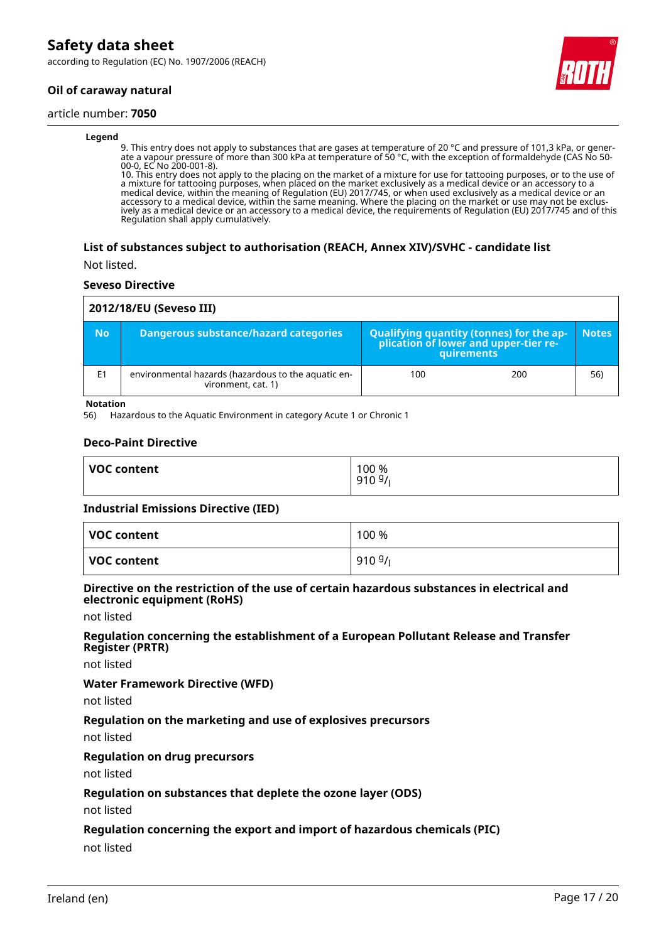according to Regulation (EC) No. 1907/2006 (REACH)

### **Oil of caraway natural**

#### article number: **7050**

#### **Legend**

9. This entry does not apply to substances that are gases at temperature of 20 °C and pressure of 101,3 kPa, or generate a vapour pressure of more than 300 kPa at temperature of 50 °C, with the exception of formaldehyde (CAS No 50- 00-0, EC No 200-001-8).

10. This entry does not apply to the placing on the market of a mixture for use for tattooing purposes, or to the use of a mixture for tattooing purposes, when placed on the market exclusively as a medical device or an accessory to a medical device, within the meaning of Regulation (EU) 2017/745, or when used exclusively as a medical device or an accessory to a medical device, within the same meaning. Where the placing on the market or use may not be exclusively as a medical device or an accessory to a medical device, the requirements of Regulation (EU) 2017/745 and of this Regulation shall apply cumulatively.

### **List of substances subject to authorisation (REACH, Annex XIV)/SVHC - candidate list**

Not listed.

#### **Seveso Directive**

| 2012/18/EU (Seveso III) |                                                                           |                                                                                            |     |              |
|-------------------------|---------------------------------------------------------------------------|--------------------------------------------------------------------------------------------|-----|--------------|
| <b>No</b>               | Dangerous substance/hazard categories                                     | Qualifying quantity (tonnes) for the application of lower and upper-tier re-<br>quirements |     | <b>Notes</b> |
| E <sub>1</sub>          | environmental hazards (hazardous to the aquatic en-<br>vironment, cat. 1) | 100                                                                                        | 200 | 56)          |

**Notation**

56) Hazardous to the Aquatic Environment in category Acute 1 or Chronic 1

### **Deco-Paint Directive**

| <b>VOC content</b> | 100 %<br>9109/ |
|--------------------|----------------|
|                    |                |

#### **Industrial Emissions Directive (IED)**

| VOC content | 100 % |
|-------------|-------|
| VOC content | 9109/ |

### **Directive on the restriction of the use of certain hazardous substances in electrical and electronic equipment (RoHS)**

not listed

### **Regulation concerning the establishment of a European Pollutant Release and Transfer Register (PRTR)**

not listed

#### **Water Framework Directive (WFD)**

not listed

### **Regulation on the marketing and use of explosives precursors**

not listed

### **Regulation on drug precursors**

not listed

### **Regulation on substances that deplete the ozone layer (ODS)**

not listed

### **Regulation concerning the export and import of hazardous chemicals (PIC)**

not listed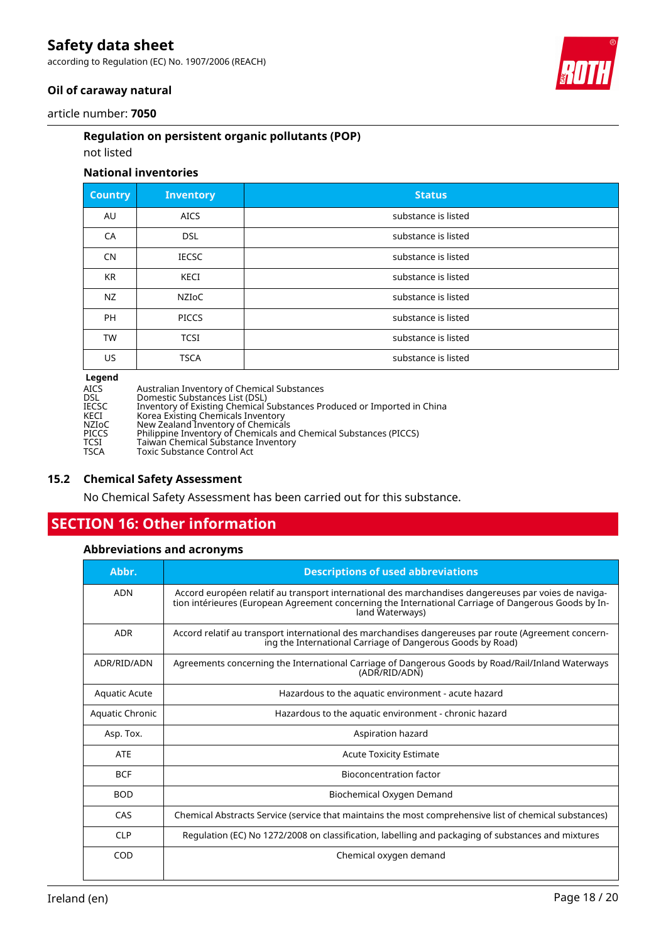according to Regulation (EC) No. 1907/2006 (REACH)



### **Oil of caraway natural**

article number: **7050**

### **Regulation on persistent organic pollutants (POP)**

### not listed

### **National inventories**

| <b>Country</b>              | <b>Inventory</b> | <b>Status</b>       |
|-----------------------------|------------------|---------------------|
| AU                          | <b>AICS</b>      | substance is listed |
| CA                          | <b>DSL</b>       | substance is listed |
| <b>CN</b>                   | <b>IECSC</b>     | substance is listed |
| <b>KR</b>                   | <b>KECI</b>      | substance is listed |
| <b>NZ</b>                   | <b>NZIOC</b>     | substance is listed |
| <b>PH</b>                   | <b>PICCS</b>     | substance is listed |
| <b>TW</b>                   | <b>TCSI</b>      | substance is listed |
| US.                         | <b>TSCA</b>      | substance is listed |
| $\sim$ $\sim$ $\sim$ $\sim$ |                  |                     |

**Legend**

| <b>Legena</b> |                                                                         |
|---------------|-------------------------------------------------------------------------|
| AICS          | Australian Inventory of Chemical Substances                             |
| DSL           | Domestic Substances List (DSL)                                          |
| IECSC         | Inventory of Existing Chemical Substances Produced or Imported in China |
| KECI          | Korea Existing Chemicals Inventory                                      |
| NZIoC         | New Zealand Inventory of Chemicals                                      |
| PICCS         | Philippine Inventory of Chemicals and Chemical Substances (PICCS)       |
| TCSI          | Taiwan Chemical Substance Inventory                                     |
| TSCA          | Toxic Substance Control Act                                             |
|               |                                                                         |

### **15.2 Chemical Safety Assessment**

No Chemical Safety Assessment has been carried out for this substance.

# **SECTION 16: Other information**

### **Abbreviations and acronyms**

| Abbr.                | <b>Descriptions of used abbreviations</b>                                                                                                                                                                                       |
|----------------------|---------------------------------------------------------------------------------------------------------------------------------------------------------------------------------------------------------------------------------|
| <b>ADN</b>           | Accord européen relatif au transport international des marchandises dangereuses par voies de naviga-<br>tion intérieures (European Agreement concerning the International Carriage of Dangerous Goods by In-<br>land Waterways) |
| <b>ADR</b>           | Accord relatif au transport international des marchandises dangereuses par route (Agreement concern-<br>ing the International Carriage of Dangerous Goods by Road)                                                              |
| ADR/RID/ADN          | Agreements concerning the International Carriage of Dangerous Goods by Road/Rail/Inland Waterways<br>(ADR/RID/ADN)                                                                                                              |
| <b>Aquatic Acute</b> | Hazardous to the aquatic environment - acute hazard                                                                                                                                                                             |
| Aquatic Chronic      | Hazardous to the aquatic environment - chronic hazard                                                                                                                                                                           |
| Asp. Tox.            | Aspiration hazard                                                                                                                                                                                                               |
| <b>ATE</b>           | <b>Acute Toxicity Estimate</b>                                                                                                                                                                                                  |
| <b>BCF</b>           | Bioconcentration factor                                                                                                                                                                                                         |
| <b>BOD</b>           | Biochemical Oxygen Demand                                                                                                                                                                                                       |
| CAS                  | Chemical Abstracts Service (service that maintains the most comprehensive list of chemical substances)                                                                                                                          |
| <b>CLP</b>           | Regulation (EC) No 1272/2008 on classification, labelling and packaging of substances and mixtures                                                                                                                              |
| COD                  | Chemical oxygen demand                                                                                                                                                                                                          |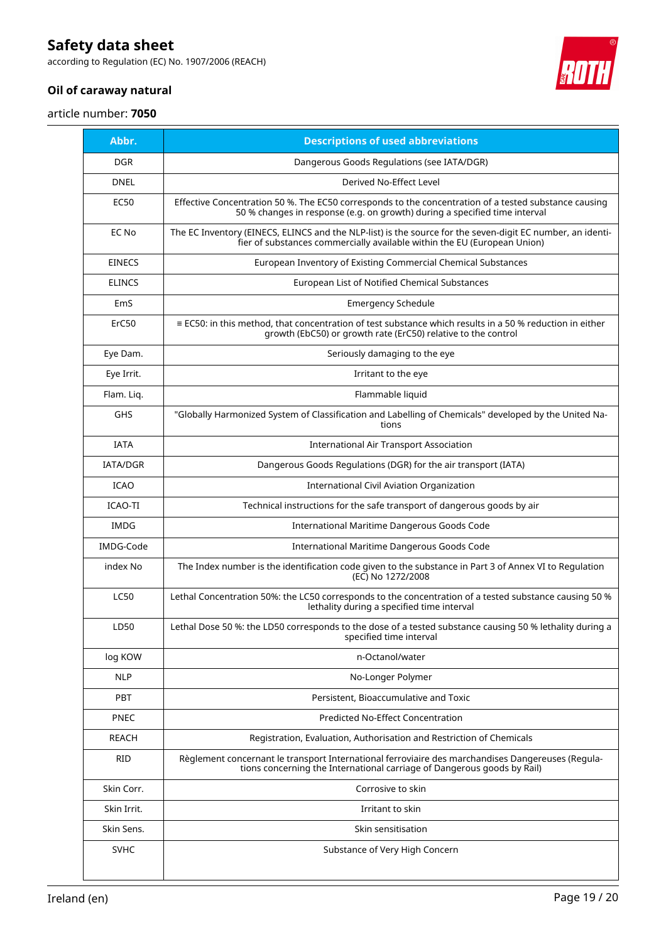according to Regulation (EC) No. 1907/2006 (REACH)



### **Oil of caraway natural**

article number: **7050**

| Abbr.         | <b>Descriptions of used abbreviations</b>                                                                                                                                              |
|---------------|----------------------------------------------------------------------------------------------------------------------------------------------------------------------------------------|
| <b>DGR</b>    | Dangerous Goods Regulations (see IATA/DGR)                                                                                                                                             |
| <b>DNEL</b>   | Derived No-Effect Level                                                                                                                                                                |
| <b>EC50</b>   | Effective Concentration 50 %. The EC50 corresponds to the concentration of a tested substance causing<br>50 % changes in response (e.g. on growth) during a specified time interval    |
| EC No         | The EC Inventory (EINECS, ELINCS and the NLP-list) is the source for the seven-digit EC number, an identi-<br>fier of substances commercially available within the EU (European Union) |
| <b>EINECS</b> | European Inventory of Existing Commercial Chemical Substances                                                                                                                          |
| <b>ELINCS</b> | European List of Notified Chemical Substances                                                                                                                                          |
| EmS           | <b>Emergency Schedule</b>                                                                                                                                                              |
| ErC50         | ≡ EC50: in this method, that concentration of test substance which results in a 50 % reduction in either<br>growth (EbC50) or growth rate (ErC50) relative to the control              |
| Eye Dam.      | Seriously damaging to the eye                                                                                                                                                          |
| Eye Irrit.    | Irritant to the eye                                                                                                                                                                    |
| Flam. Liq.    | Flammable liquid                                                                                                                                                                       |
| <b>GHS</b>    | "Globally Harmonized System of Classification and Labelling of Chemicals" developed by the United Na-<br>tions                                                                         |
| <b>IATA</b>   | International Air Transport Association                                                                                                                                                |
| IATA/DGR      | Dangerous Goods Regulations (DGR) for the air transport (IATA)                                                                                                                         |
| <b>ICAO</b>   | International Civil Aviation Organization                                                                                                                                              |
| ICAO-TI       | Technical instructions for the safe transport of dangerous goods by air                                                                                                                |
| <b>IMDG</b>   | International Maritime Dangerous Goods Code                                                                                                                                            |
| IMDG-Code     | International Maritime Dangerous Goods Code                                                                                                                                            |
| index No      | The Index number is the identification code given to the substance in Part 3 of Annex VI to Regulation<br>(EC) No 1272/2008                                                            |
| <b>LC50</b>   | Lethal Concentration 50%: the LC50 corresponds to the concentration of a tested substance causing 50 %<br>lethality during a specified time interval                                   |
| LD50          | Lethal Dose 50 %: the LD50 corresponds to the dose of a tested substance causing 50 % lethality during a<br>specified time interval                                                    |
| log KOW       | n-Octanol/water                                                                                                                                                                        |
| <b>NLP</b>    | No-Longer Polymer                                                                                                                                                                      |
| PBT           | Persistent, Bioaccumulative and Toxic                                                                                                                                                  |
| <b>PNEC</b>   | <b>Predicted No-Effect Concentration</b>                                                                                                                                               |
| REACH         | Registration, Evaluation, Authorisation and Restriction of Chemicals                                                                                                                   |
| <b>RID</b>    | Règlement concernant le transport International ferroviaire des marchandises Dangereuses (Regula-<br>tions concerning the International carriage of Dangerous goods by Rail)           |
| Skin Corr.    | Corrosive to skin                                                                                                                                                                      |
| Skin Irrit.   | Irritant to skin                                                                                                                                                                       |
| Skin Sens.    | Skin sensitisation                                                                                                                                                                     |
| <b>SVHC</b>   | Substance of Very High Concern                                                                                                                                                         |